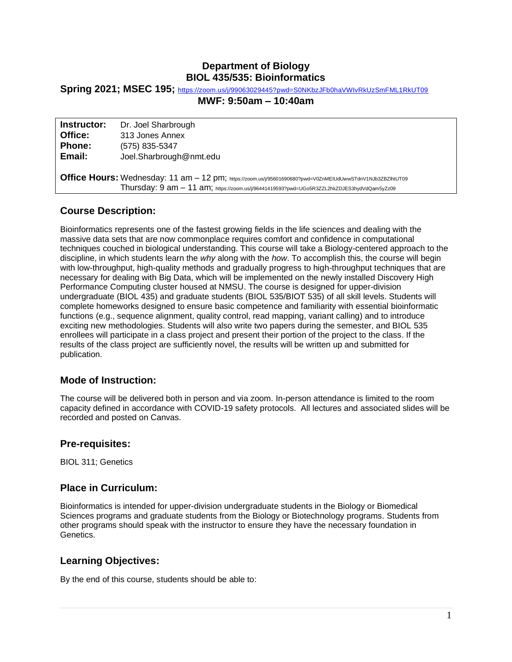## **Department of Biology BIOL 435/535: Bioinformatics**

#### **Spring 2021; MSEC 195;** <https://zoom.us/j/99063029445?pwd=S0NKbzJFb0haVWIvRkUzSmFML1RkUT09>

#### **MWF: 9:50am – 10:40am**

| Instructor:                                                                                                | Dr. Joel Sharbrough                                                                        |  |  |  |
|------------------------------------------------------------------------------------------------------------|--------------------------------------------------------------------------------------------|--|--|--|
| Office:                                                                                                    | 313 Jones Annex                                                                            |  |  |  |
| <b>Phone:</b>                                                                                              | (575) 835-5347                                                                             |  |  |  |
| Email:                                                                                                     | Joel.Sharbrough@nmt.edu                                                                    |  |  |  |
|                                                                                                            |                                                                                            |  |  |  |
| Office Hours: Wednesday: 11 am - 12 pm; https://zoom.us/j/95601690680?pwd=V0ZnMEIUdUwwSTdnV1NJb3ZBZIhtUT09 |                                                                                            |  |  |  |
|                                                                                                            | Thursday: 9 am - 11 am; https://zoom.us/j/96441419593?pwd=UGo5R3ZZL2hkZDJES3hydVdQam5yZz09 |  |  |  |

## **Course Description:**

Bioinformatics represents one of the fastest growing fields in the life sciences and dealing with the massive data sets that are now commonplace requires comfort and confidence in computational techniques couched in biological understanding. This course will take a Biology-centered approach to the discipline, in which students learn the *why* along with the *how*. To accomplish this, the course will begin with low-throughput, high-quality methods and gradually progress to high-throughput techniques that are necessary for dealing with Big Data, which will be implemented on the newly installed Discovery High Performance Computing cluster housed at NMSU. The course is designed for upper-division undergraduate (BIOL 435) and graduate students (BIOL 535/BIOT 535) of all skill levels. Students will complete homeworks designed to ensure basic competence and familiarity with essential bioinformatic functions (e.g., sequence alignment, quality control, read mapping, variant calling) and to introduce exciting new methodologies. Students will also write two papers during the semester, and BIOL 535 enrollees will participate in a class project and present their portion of the project to the class. If the results of the class project are sufficiently novel, the results will be written up and submitted for publication.

### **Mode of Instruction:**

The course will be delivered both in person and via zoom. In-person attendance is limited to the room capacity defined in accordance with COVID-19 safety protocols. All lectures and associated slides will be recorded and posted on Canvas.

### **Pre-requisites:**

BIOL 311; Genetics

## **Place in Curriculum:**

Bioinformatics is intended for upper-division undergraduate students in the Biology or Biomedical Sciences programs and graduate students from the Biology or Biotechnology programs. Students from other programs should speak with the instructor to ensure they have the necessary foundation in Genetics.

### **Learning Objectives:**

By the end of this course, students should be able to: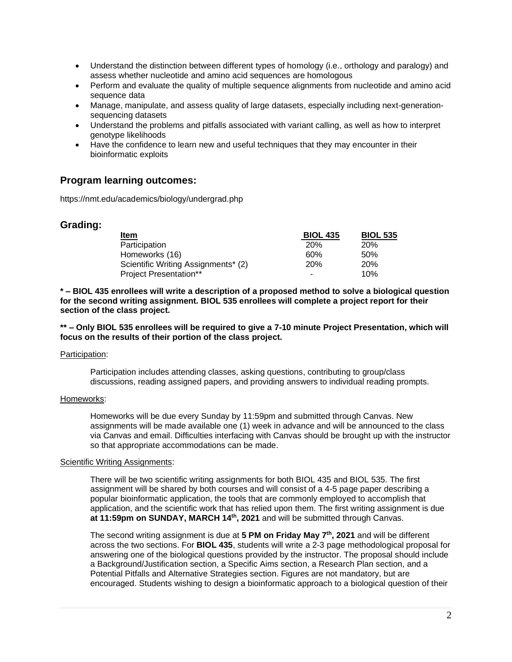- Understand the distinction between different types of homology (i.e., orthology and paralogy) and assess whether nucleotide and amino acid sequences are homologous
- Perform and evaluate the quality of multiple sequence alignments from nucleotide and amino acid sequence data
- Manage, manipulate, and assess quality of large datasets, especially including next-generationsequencing datasets
- Understand the problems and pitfalls associated with variant calling, as well as how to interpret genotype likelihoods
- Have the confidence to learn new and useful techniques that they may encounter in their bioinformatic exploits

### **Program learning outcomes:**

https://nmt.edu/academics/biology/undergrad.php

### **Grading:**

| <b>Item</b>                         | <b>BIOL 435</b> | <b>BIOL 535</b> |
|-------------------------------------|-----------------|-----------------|
| Participation                       | <b>20%</b>      | <b>20%</b>      |
| Homeworks (16)                      | 60%             | 50%             |
| Scientific Writing Assignments* (2) | <b>20%</b>      | 20%             |
| <b>Project Presentation**</b>       |                 | 10%             |

**\* – BIOL 435 enrollees will write a description of a proposed method to solve a biological question for the second writing assignment. BIOL 535 enrollees will complete a project report for their section of the class project.**

**\*\* – Only BIOL 535 enrollees will be required to give a 7-10 minute Project Presentation, which will focus on the results of their portion of the class project.**

#### Participation:

Participation includes attending classes, asking questions, contributing to group/class discussions, reading assigned papers, and providing answers to individual reading prompts.

#### Homeworks:

Homeworks will be due every Sunday by 11:59pm and submitted through Canvas. New assignments will be made available one (1) week in advance and will be announced to the class via Canvas and email. Difficulties interfacing with Canvas should be brought up with the instructor so that appropriate accommodations can be made.

#### Scientific Writing Assignments:

There will be two scientific writing assignments for both BIOL 435 and BIOL 535. The first assignment will be shared by both courses and will consist of a 4-5 page paper describing a popular bioinformatic application, the tools that are commonly employed to accomplish that application, and the scientific work that has relied upon them. The first writing assignment is due **at 11:59pm on SUNDAY, MARCH 14th , 2021** and will be submitted through Canvas.

The second writing assignment is due at **5 PM on Friday May 7th, 2021** and will be different across the two sections. For **BIOL 435**, students will write a 2-3 page methodological proposal for answering one of the biological questions provided by the instructor. The proposal should include a Background/Justification section, a Specific Aims section, a Research Plan section, and a Potential Pitfalls and Alternative Strategies section. Figures are not mandatory, but are encouraged. Students wishing to design a bioinformatic approach to a biological question of their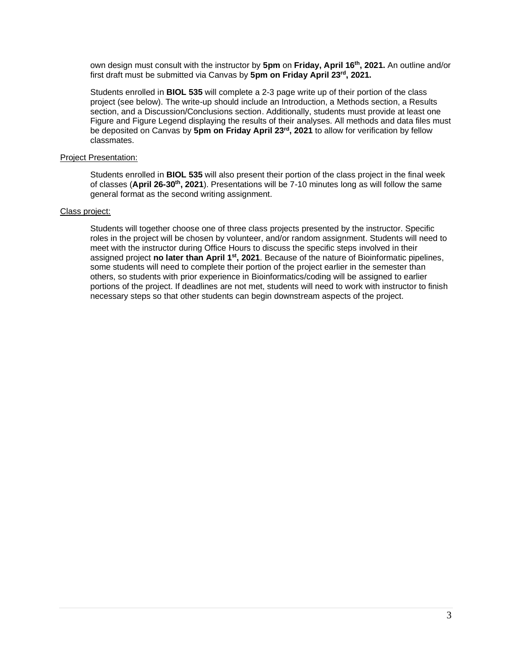own design must consult with the instructor by **5pm** on **Friday, April 16th, 2021.** An outline and/or first draft must be submitted via Canvas by **5pm on Friday April 23rd, 2021.**

Students enrolled in **BIOL 535** will complete a 2-3 page write up of their portion of the class project (see below). The write-up should include an Introduction, a Methods section, a Results section, and a Discussion/Conclusions section. Additionally, students must provide at least one Figure and Figure Legend displaying the results of their analyses. All methods and data files must be deposited on Canvas by **5pm on Friday April 23rd, 2021** to allow for verification by fellow classmates.

#### Project Presentation:

Students enrolled in **BIOL 535** will also present their portion of the class project in the final week of classes (**April 26-30th, 2021**). Presentations will be 7-10 minutes long as will follow the same general format as the second writing assignment.

#### Class project:

Students will together choose one of three class projects presented by the instructor. Specific roles in the project will be chosen by volunteer, and/or random assignment. Students will need to meet with the instructor during Office Hours to discuss the specific steps involved in their assigned project **no later than April 1st, 2021**. Because of the nature of Bioinformatic pipelines, some students will need to complete their portion of the project earlier in the semester than others, so students with prior experience in Bioinformatics/coding will be assigned to earlier portions of the project. If deadlines are not met, students will need to work with instructor to finish necessary steps so that other students can begin downstream aspects of the project.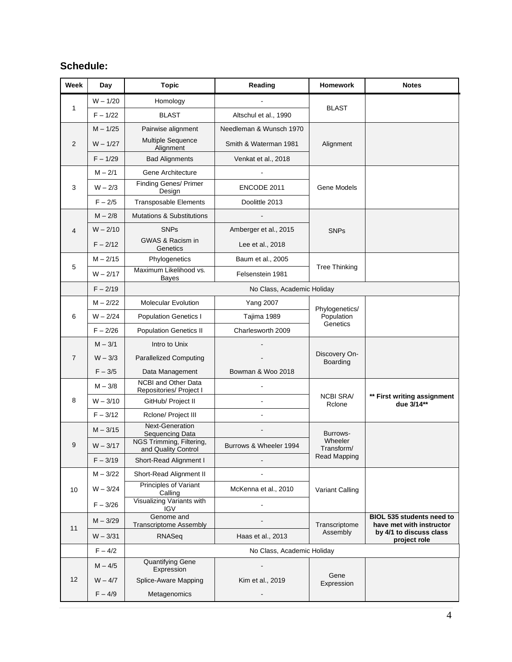# **Schedule:**

| Week           | Day        | <b>Topic</b>                                    | Reading                 | Homework                                 | <b>Notes</b>                                                 |
|----------------|------------|-------------------------------------------------|-------------------------|------------------------------------------|--------------------------------------------------------------|
| 1              | $W - 1/20$ | Homology                                        |                         |                                          |                                                              |
|                | $F - 1/22$ | <b>BLAST</b>                                    | Altschul et al., 1990   | <b>BLAST</b>                             |                                                              |
| 2              | $M - 1/25$ | Pairwise alignment                              | Needleman & Wunsch 1970 |                                          |                                                              |
|                | $W - 1/27$ | Multiple Sequence<br>Alignment                  | Smith & Waterman 1981   | Alignment                                |                                                              |
|                | $F - 1/29$ | <b>Bad Alignments</b>                           | Venkat et al., 2018     |                                          |                                                              |
|                | $M - 2/1$  | Gene Architecture                               |                         |                                          |                                                              |
| 3              | $W - 2/3$  | <b>Finding Genes/ Primer</b><br>Design          | ENCODE 2011             | Gene Models                              |                                                              |
|                | $F - 2/5$  | <b>Transposable Elements</b>                    | Doolittle 2013          |                                          |                                                              |
|                | $M - 2/8$  | <b>Mutations &amp; Substitutions</b>            |                         |                                          |                                                              |
| 4              | $W - 2/10$ | <b>SNPs</b>                                     | Amberger et al., 2015   | <b>SNPs</b>                              |                                                              |
|                | $F - 2/12$ | GWAS & Racism in<br>Genetics                    | Lee et al., 2018        |                                          |                                                              |
|                | $M - 2/15$ | Phylogenetics                                   | Baum et al., 2005       |                                          |                                                              |
| 5              | $W - 2/17$ | Maximum Likelihood vs.<br>Bayes                 | Felsenstein 1981        | <b>Tree Thinking</b>                     |                                                              |
|                | $F - 2/19$ | No Class, Academic Holiday                      |                         |                                          |                                                              |
|                | $M - 2/22$ | <b>Molecular Evolution</b>                      | <b>Yang 2007</b>        | Phylogenetics/<br>Population<br>Genetics |                                                              |
| 6              | $W - 2/24$ | <b>Population Genetics I</b>                    | Tajima 1989             |                                          |                                                              |
|                | $F - 2/26$ | <b>Population Genetics II</b>                   | Charlesworth 2009       |                                          |                                                              |
|                | $M - 3/1$  | Intro to Unix                                   |                         | Discovery On-<br>Boarding                |                                                              |
| $\overline{7}$ | $W - 3/3$  | <b>Parallelized Computing</b>                   |                         |                                          |                                                              |
|                | $F - 3/5$  | Data Management                                 | Bowman & Woo 2018       |                                          |                                                              |
|                | $M - 3/8$  | NCBI and Other Data<br>Repositories/ Project I  |                         | <b>NCBI SRA/</b><br>Rclone               |                                                              |
| 8              | $W - 3/10$ | GitHub/ Project II                              | ÷,                      |                                          | ** First writing assignment<br>due 3/14**                    |
|                | $F - 3/12$ | Rclone/ Project III                             |                         |                                          |                                                              |
|                | $M - 3/15$ | <b>Next-Generation</b><br>Sequencing Data       |                         | Burrows-                                 |                                                              |
| 9              | $W - 3/17$ | NGS Trimming, Filtering,<br>and Quality Control | Burrows & Wheeler 1994  | Wheeler<br>Transform/<br>Read Mapping    |                                                              |
|                | $F - 3/19$ | Short-Read Alignment I                          |                         |                                          |                                                              |
|                | $M - 3/22$ | Short-Read Alignment II                         |                         |                                          |                                                              |
| 10             | $W - 3/24$ | Principles of Variant<br>Calling                | McKenna et al., 2010    | Variant Calling                          |                                                              |
|                | $F - 3/26$ | Visualizing Variants with<br>IGV                |                         |                                          |                                                              |
| 11             | $M - 3/29$ | Genome and<br><b>Transcriptome Assembly</b>     |                         | Transcriptome                            | <b>BIOL 535 students need to</b><br>have met with instructor |
|                | $W - 3/31$ | RNASeq                                          | Haas et al., 2013       | Assembly                                 | by 4/1 to discuss class<br>project role                      |
|                | $F - 4/2$  | No Class, Academic Holiday                      |                         |                                          |                                                              |
| 12             | $M - 4/5$  | <b>Quantifying Gene</b><br>Expression           |                         |                                          |                                                              |
|                | $W - 4/7$  | Splice-Aware Mapping                            | Kim et al., 2019        | Gene<br>Expression                       |                                                              |
|                | $F - 4/9$  | Metagenomics                                    |                         |                                          |                                                              |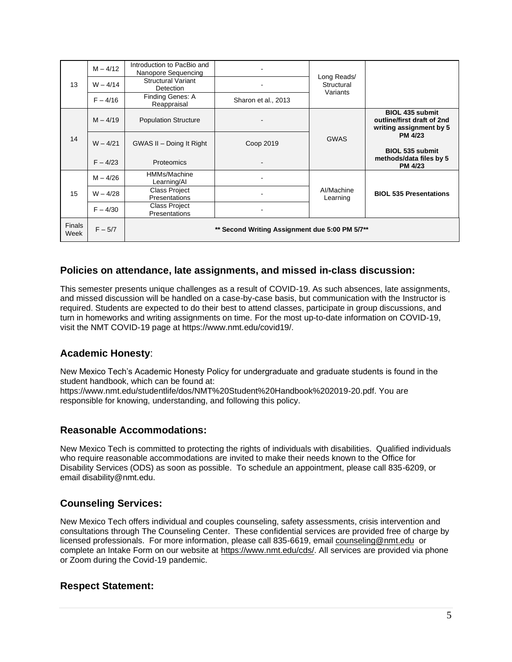| 13                    | $M - 4/12$ | Introduction to PacBio and<br>Nanopore Sequencing |                     | Long Reads/<br>Structural<br>Variants |                                                                                 |  |
|-----------------------|------------|---------------------------------------------------|---------------------|---------------------------------------|---------------------------------------------------------------------------------|--|
|                       | $W - 4/14$ | <b>Structural Variant</b><br>Detection            |                     |                                       |                                                                                 |  |
|                       | $F - 4/16$ | Finding Genes: A<br>Reappraisal                   | Sharon et al., 2013 |                                       |                                                                                 |  |
|                       | $M - 4/19$ | <b>Population Structure</b>                       |                     | <b>GWAS</b>                           | <b>BIOL 435 submit</b><br>outline/first draft of 2nd<br>writing assignment by 5 |  |
| 14                    | $W - 4/21$ | GWAS II - Doing It Right                          | Coop 2019           |                                       | <b>PM 4/23</b><br><b>BIOL 535 submit</b>                                        |  |
|                       | $F - 4/23$ | <b>Proteomics</b>                                 |                     |                                       | methods/data files by 5<br><b>PM 4/23</b>                                       |  |
| 15                    | $M - 4/26$ | HMMs/Machine<br>Learning/Al                       |                     | Al/Machine<br>Learning                |                                                                                 |  |
|                       | $W - 4/28$ | <b>Class Project</b><br>Presentations             |                     |                                       | <b>BIOL 535 Presentations</b>                                                   |  |
|                       | $F - 4/30$ | <b>Class Project</b><br>Presentations             |                     |                                       |                                                                                 |  |
| <b>Finals</b><br>Week | $F - 5/7$  | ** Second Writing Assignment due 5:00 PM 5/7**    |                     |                                       |                                                                                 |  |

## **Policies on attendance, late assignments, and missed in-class discussion:**

This semester presents unique challenges as a result of COVID-19. As such absences, late assignments, and missed discussion will be handled on a case-by-case basis, but communication with the Instructor is required. Students are expected to do their best to attend classes, participate in group discussions, and turn in homeworks and writing assignments on time. For the most up-to-date information on COVID-19, visit the NMT COVID-19 page at https://www.nmt.edu/covid19/.

## **Academic Honesty**:

New Mexico Tech's Academic Honesty Policy for undergraduate and graduate students is found in the student handbook, which can be found at:

https://www.nmt.edu/studentlife/dos/NMT%20Student%20Handbook%202019-20.pdf. You are responsible for knowing, understanding, and following this policy.

### **Reasonable Accommodations:**

New Mexico Tech is committed to protecting the rights of individuals with disabilities. Qualified individuals who require reasonable accommodations are invited to make their needs known to the Office for Disability Services (ODS) as soon as possible. To schedule an appointment, please call 835-6209, or email disability@nmt.edu.

## **Counseling Services:**

New Mexico Tech offers individual and couples counseling, safety assessments, crisis intervention and consultations through The Counseling Center. These confidential services are provided free of charge by licensed professionals. For more information, please call 835-6619, email [counseling@nmt.edu](mailto:counseling@nmt.edu) or complete an Intake Form on our website at [https://www.nmt.edu/cds/.](https://www.nmt.edu/cds/) All services are provided via phone or Zoom during the Covid-19 pandemic.

## **Respect Statement:**